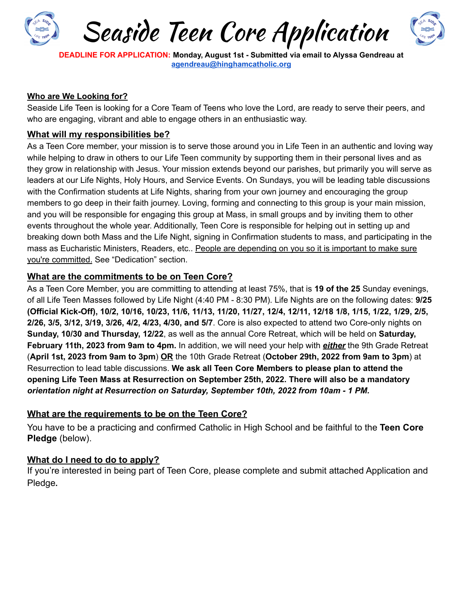

**DEADLINE FOR APPLICATION: Monday, August 1st - Submitted via email to Alyssa Gendreau at [agendreau@hinghamcatholic.org](mailto:agendreau@hinghamcatholic.org)**

#### **Who are We Looking for?**

Seaside Life Teen is looking for a Core Team of Teens who love the Lord, are ready to serve their peers, and who are engaging, vibrant and able to engage others in an enthusiastic way.

#### **What will my responsibilities be?**

As a Teen Core member, your mission is to serve those around you in Life Teen in an authentic and loving way while helping to draw in others to our Life Teen community by supporting them in their personal lives and as they grow in relationship with Jesus. Your mission extends beyond our parishes, but primarily you will serve as leaders at our Life Nights, Holy Hours, and Service Events. On Sundays, you will be leading table discussions with the Confirmation students at Life Nights, sharing from your own journey and encouraging the group members to go deep in their faith journey. Loving, forming and connecting to this group is your main mission, and you will be responsible for engaging this group at Mass, in small groups and by inviting them to other events throughout the whole year. Additionally, Teen Core is responsible for helping out in setting up and breaking down both Mass and the Life Night, signing in Confirmation students to mass, and participating in the mass as Eucharistic Ministers, Readers, etc.. People are depending on you so it is important to make sure you're committed. See "Dedication" section.

#### **What are the commitments to be on Teen Core?**

As a Teen Core Member, you are committing to attending at least 75%, that is **19 of the 25** Sunday evenings, of all Life Teen Masses followed by Life Night (4:40 PM - 8:30 PM). Life Nights are on the following dates: **9/25** (Official Kick-Off), 10/2, 10/16, 10/23, 11/6, 11/13, 11/20, 11/27, 12/4, 12/11, 12/18 1/8, 1/15, 1/22, 1/29, 2/5, **2/26, 3/5, 3/12, 3/19, 3/26, 4/2, 4/23, 4/30, and 5/7**. Core is also expected to attend two Core-only nights on **Sunday, 10/30 and Thursday, 12/22**, as well as the annual Core Retreat, which will be held on **Saturday, February 11th, 2023 from 9am to 4pm.** In addition, we will need your help with *either* the 9th Grade Retreat (**April 1st, 2023 from 9am to 3pm**) **OR** the 10th Grade Retreat (**October 29th, 2022 from 9am to 3pm**) at Resurrection to lead table discussions. **We ask all Teen Core Members to please plan to attend the opening Life Teen Mass at Resurrection on September 25th, 2022. There will also be a mandatory** *orientation night at Resurrection on Saturday, September 10th, 2022 from 10am - 1 PM.*

## **What are the requirements to be on the Teen Core?**

You have to be a practicing and confirmed Catholic in High School and be faithful to the **Teen Core Pledge** (below).

#### **What do I need to do to apply?**

If you're interested in being part of Teen Core, please complete and submit attached Application and Pledge**.**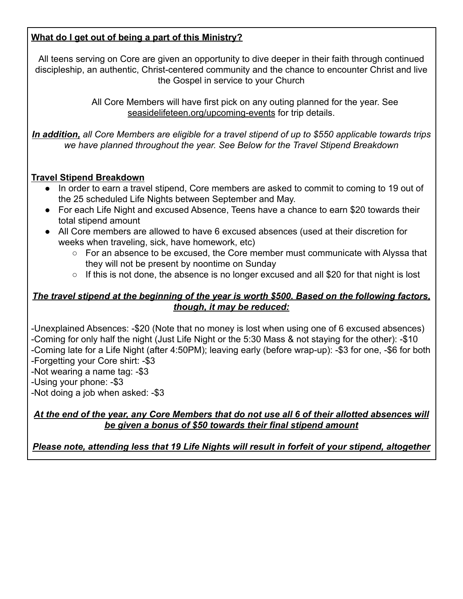## **What do I get out of being a part of this Ministry?**

All teens serving on Core are given an opportunity to dive deeper in their faith through continued discipleship, an authentic, Christ-centered community and the chance to encounter Christ and live the Gospel in service to your Church

> All Core Members will have first pick on any outing planned for the year. See seasidelifeteen.org/upcoming-events for trip details.

*In addition, all Core Members are eligible for a travel stipend of up to \$550 applicable towards trips we have planned throughout the year. See Below for the Travel Stipend Breakdown*

#### **Travel Stipend Breakdown**

- In order to earn a travel stipend, Core members are asked to commit to coming to 19 out of the 25 scheduled Life Nights between September and May.
- For each Life Night and excused Absence, Teens have a chance to earn \$20 towards their total stipend amount
- All Core members are allowed to have 6 excused absences (used at their discretion for weeks when traveling, sick, have homework, etc)
	- For an absence to be excused, the Core member must communicate with Alyssa that they will not be present by noontime on Sunday
	- If this is not done, the absence is no longer excused and all \$20 for that night is lost

## *The travel stipend at the beginning of the year is worth \$500. Based on the following factors, though, it may be reduced:*

-Unexplained Absences: -\$20 (Note that no money is lost when using one of 6 excused absences) -Coming for only half the night (Just Life Night or the 5:30 Mass & not staying for the other): -\$10 -Coming late for a Life Night (after 4:50PM); leaving early (before wrap-up): -\$3 for one, -\$6 for both -Forgetting your Core shirt: -\$3

-Not wearing a name tag: -\$3

-Using your phone: -\$3

-Not doing a job when asked: -\$3

#### *At the end of the year, any Core Members that do not use all 6 of their allotted absences will be given a bonus of \$50 towards their final stipend amount*

*Please note, attending less that 19 Life Nights will result in forfeit of your stipend, altogether*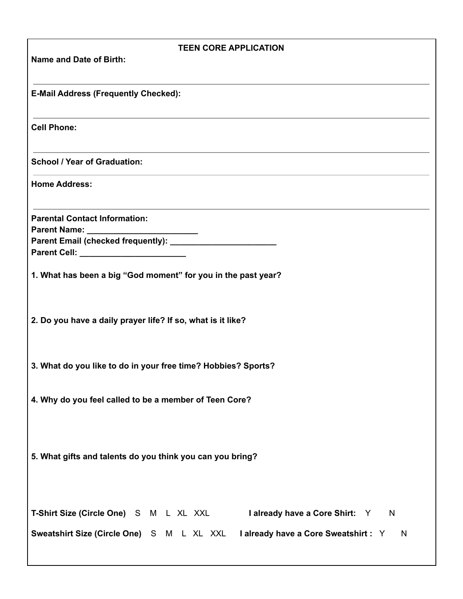| <b>TEEN CORE APPLICATION</b>                                                            |
|-----------------------------------------------------------------------------------------|
| Name and Date of Birth:                                                                 |
|                                                                                         |
| <b>E-Mail Address (Frequently Checked):</b>                                             |
|                                                                                         |
| <b>Cell Phone:</b>                                                                      |
|                                                                                         |
| <b>School / Year of Graduation:</b>                                                     |
| <b>Home Address:</b>                                                                    |
|                                                                                         |
| <b>Parental Contact Information:</b>                                                    |
|                                                                                         |
|                                                                                         |
|                                                                                         |
| 1. What has been a big "God moment" for you in the past year?                           |
|                                                                                         |
|                                                                                         |
| 2. Do you have a daily prayer life? If so, what is it like?                             |
|                                                                                         |
|                                                                                         |
| 3. What do you like to do in your free time? Hobbies? Sports?                           |
|                                                                                         |
| 4. Why do you feel called to be a member of Teen Core?                                  |
|                                                                                         |
|                                                                                         |
| 5. What gifts and talents do you think you can you bring?                               |
|                                                                                         |
|                                                                                         |
|                                                                                         |
| T-Shirt Size (Circle One) S M L XL XXL I already have a Core Shirt: Y<br>$\overline{N}$ |
| Sweatshirt Size (Circle One) S M L XL XXL I already have a Core Sweatshirt : Y<br>N     |
|                                                                                         |